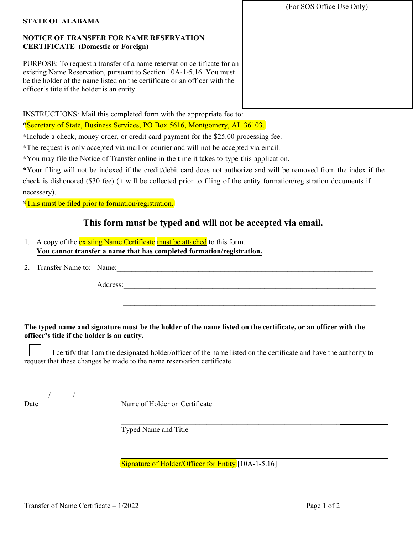## **NOTICE OF TRANSFER FOR NAME RESERVATION CERTIFICATE (Domestic or Foreign)**

PURPOSE: To request a transfer of a name reservation certificate for an existing Name Reservation, pursuant to Section 10A-1-5.16. You must be the holder of the name listed on the certificate or an officer with the officer's title if the holder is an entity.

(For SOS Office Use Only)

INSTRUCTIONS: Mail this completed form with the appropriate fee to:

\*Secretary of State, Business Services, PO Box 5616, Montgomery, AL 36103.

**\***Include a check, money order, or credit card payment for the \$25.00 processing fee.

**\***The request is only accepted via mail or courier and will not be accepted via email.

**\***You may file the Notice of Transfer online in the time it takes to type this application.

**\***Your filing will not be indexed if the credit/debit card does not authorize and will be removed from the index if the check is dishonored (\$30 fee) (it will be collected prior to filing of the entity formation/registration documents if necessary).

**\***This must be filed prior to formation/registration.

# **This form must be typed and will not be accepted via email.**

- 1. A copy of the **existing Name Certificate** must be attached to this form. **You cannot transfer a name that has completed formation/registration.**
- 2. Transfer Name to: Name:

Address:

\_\_\_\_\_\_\_\_\_\_\_\_\_\_\_\_\_\_\_\_\_\_\_\_\_\_\_\_\_\_\_\_\_\_\_\_\_\_\_\_\_\_\_\_\_\_\_\_\_\_\_\_\_\_\_\_\_\_\_\_\_\_\_\_\_\_\_\_

### **The typed name and signature must be the holder of the name listed on the certificate, or an officer with the officer's title if the holder is an entity.**

 I certify that I am the designated holder/officer of the name listed on the certificate and have the authority to request that these changes be made to the name reservation certificate.

/ /

Date Name of Holder on Certificate

 $\_$  , and the set of the set of the set of the set of the set of the set of the set of the set of the set of the set of the set of the set of the set of the set of the set of the set of the set of the set of the set of th Typed Name and Title

Signature of Holder/Officer for Entity [10A-1-5.16]